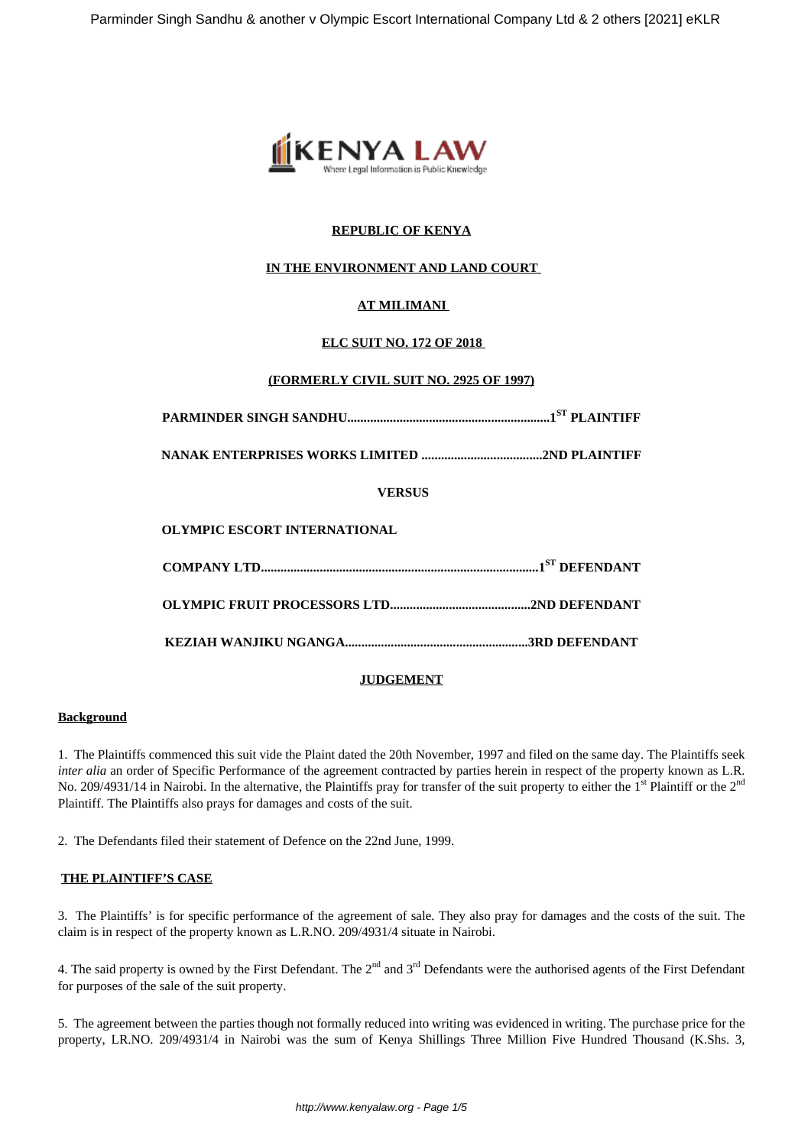

# **REPUBLIC OF KENYA**

# **IN THE ENVIRONMENT AND LAND COURT**

# **AT MILIMANI**

## **ELC SUIT NO. 172 OF 2018**

## **(FORMERLY CIVIL SUIT NO. 2925 OF 1997)**

**PARMINDER SINGH SANDHU..............................................................1ST PLAINTIFF**

**NANAK ENTERPRISES WORKS LIMITED .....................................2ND PLAINTIFF**

### **VERSUS**

### **JUDGEMENT**

#### **Background**

1. The Plaintiffs commenced this suit vide the Plaint dated the 20th November, 1997 and filed on the same day. The Plaintiffs seek *inter alia* an order of Specific Performance of the agreement contracted by parties herein in respect of the property known as L.R. No. 209/4931/14 in Nairobi. In the alternative, the Plaintiffs pray for transfer of the suit property to either the 1<sup>st</sup> Plaintiff or the 2<sup>nd</sup> Plaintiff. The Plaintiffs also prays for damages and costs of the suit.

2. The Defendants filed their statement of Defence on the 22nd June, 1999.

### **THE PLAINTIFF'S CASE**

3. The Plaintiffs' is for specific performance of the agreement of sale. They also pray for damages and the costs of the suit. The claim is in respect of the property known as L.R.NO. 209/4931/4 situate in Nairobi.

4. The said property is owned by the First Defendant. The  $2<sup>nd</sup>$  and  $3<sup>rd</sup>$  Defendants were the authorised agents of the First Defendant for purposes of the sale of the suit property.

5. The agreement between the parties though not formally reduced into writing was evidenced in writing. The purchase price for the property, LR.NO. 209/4931/4 in Nairobi was the sum of Kenya Shillings Three Million Five Hundred Thousand (K.Shs. 3,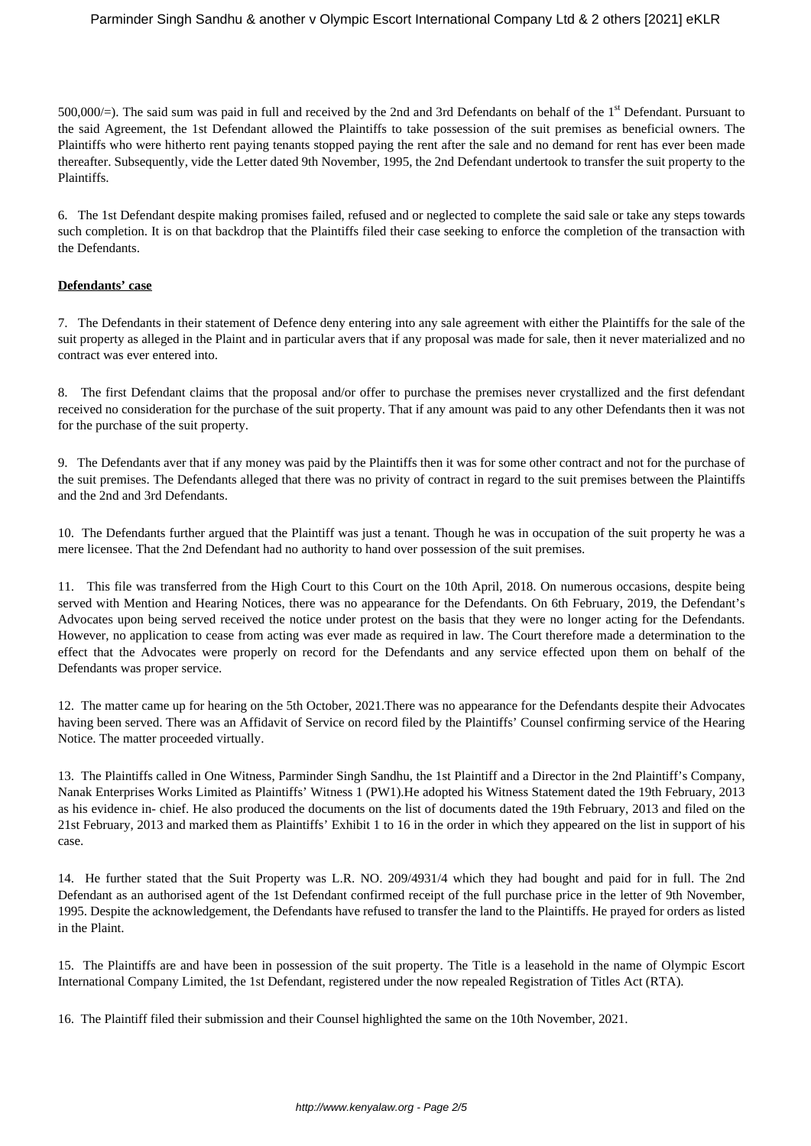500,000/=). The said sum was paid in full and received by the 2nd and 3rd Defendants on behalf of the 1st Defendant. Pursuant to the said Agreement, the 1st Defendant allowed the Plaintiffs to take possession of the suit premises as beneficial owners. The Plaintiffs who were hitherto rent paying tenants stopped paying the rent after the sale and no demand for rent has ever been made thereafter. Subsequently, vide the Letter dated 9th November, 1995, the 2nd Defendant undertook to transfer the suit property to the Plaintiffs.

6. The 1st Defendant despite making promises failed, refused and or neglected to complete the said sale or take any steps towards such completion. It is on that backdrop that the Plaintiffs filed their case seeking to enforce the completion of the transaction with the Defendants.

## **Defendants' case**

7. The Defendants in their statement of Defence deny entering into any sale agreement with either the Plaintiffs for the sale of the suit property as alleged in the Plaint and in particular avers that if any proposal was made for sale, then it never materialized and no contract was ever entered into.

8. The first Defendant claims that the proposal and/or offer to purchase the premises never crystallized and the first defendant received no consideration for the purchase of the suit property. That if any amount was paid to any other Defendants then it was not for the purchase of the suit property.

9. The Defendants aver that if any money was paid by the Plaintiffs then it was for some other contract and not for the purchase of the suit premises. The Defendants alleged that there was no privity of contract in regard to the suit premises between the Plaintiffs and the 2nd and 3rd Defendants.

10. The Defendants further argued that the Plaintiff was just a tenant. Though he was in occupation of the suit property he was a mere licensee. That the 2nd Defendant had no authority to hand over possession of the suit premises.

11. This file was transferred from the High Court to this Court on the 10th April, 2018. On numerous occasions, despite being served with Mention and Hearing Notices, there was no appearance for the Defendants. On 6th February, 2019, the Defendant's Advocates upon being served received the notice under protest on the basis that they were no longer acting for the Defendants. However, no application to cease from acting was ever made as required in law. The Court therefore made a determination to the effect that the Advocates were properly on record for the Defendants and any service effected upon them on behalf of the Defendants was proper service.

12. The matter came up for hearing on the 5th October, 2021.There was no appearance for the Defendants despite their Advocates having been served. There was an Affidavit of Service on record filed by the Plaintiffs' Counsel confirming service of the Hearing Notice. The matter proceeded virtually.

13. The Plaintiffs called in One Witness, Parminder Singh Sandhu, the 1st Plaintiff and a Director in the 2nd Plaintiff's Company, Nanak Enterprises Works Limited as Plaintiffs' Witness 1 (PW1).He adopted his Witness Statement dated the 19th February, 2013 as his evidence in- chief. He also produced the documents on the list of documents dated the 19th February, 2013 and filed on the 21st February, 2013 and marked them as Plaintiffs' Exhibit 1 to 16 in the order in which they appeared on the list in support of his case.

14. He further stated that the Suit Property was L.R. NO. 209/4931/4 which they had bought and paid for in full. The 2nd Defendant as an authorised agent of the 1st Defendant confirmed receipt of the full purchase price in the letter of 9th November, 1995. Despite the acknowledgement, the Defendants have refused to transfer the land to the Plaintiffs. He prayed for orders as listed in the Plaint.

15. The Plaintiffs are and have been in possession of the suit property. The Title is a leasehold in the name of Olympic Escort International Company Limited, the 1st Defendant, registered under the now repealed Registration of Titles Act (RTA).

16. The Plaintiff filed their submission and their Counsel highlighted the same on the 10th November, 2021.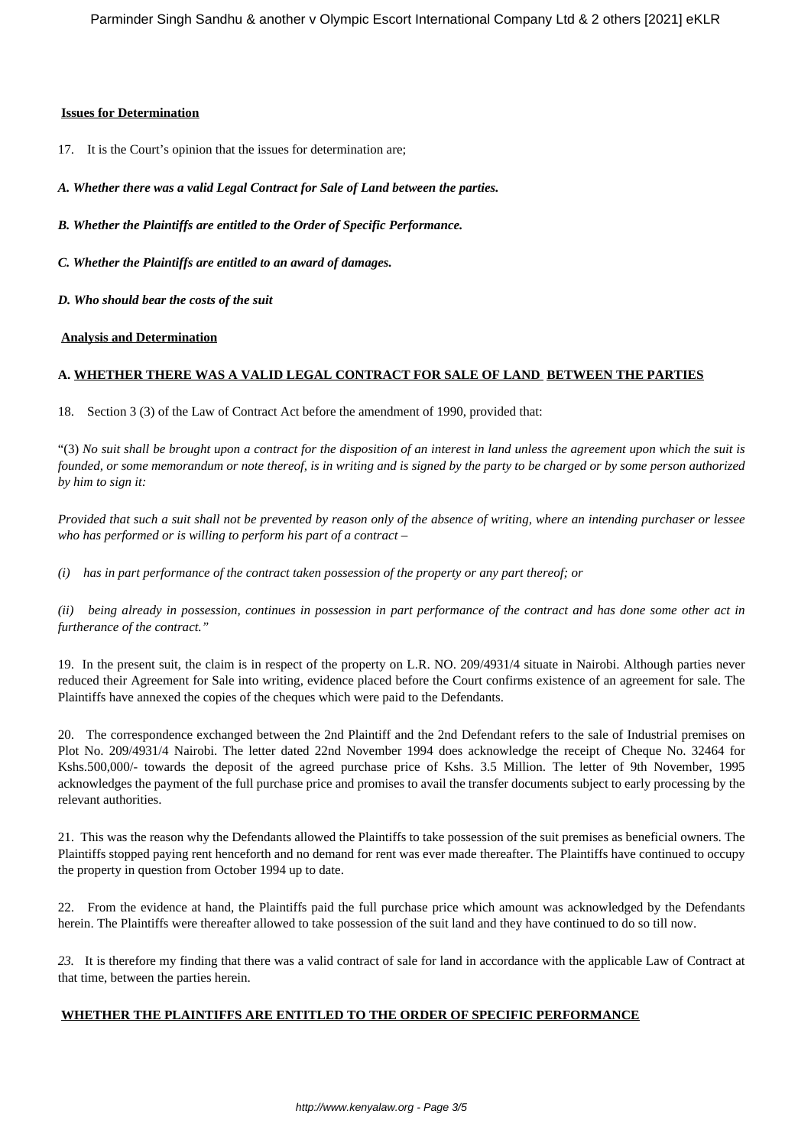#### **Issues for Determination**

17. It is the Court's opinion that the issues for determination are;

*A. Whether there was a valid Legal Contract for Sale of Land between the parties.*

*B. Whether the Plaintiffs are entitled to the Order of Specific Performance.*

*C. Whether the Plaintiffs are entitled to an award of damages.*

*D. Who should bear the costs of the suit*

#### **Analysis and Determination**

### **A. WHETHER THERE WAS A VALID LEGAL CONTRACT FOR SALE OF LAND BETWEEN THE PARTIES**

18. Section 3 (3) of the Law of Contract Act before the amendment of 1990, provided that:

"(3) *No suit shall be brought upon a contract for the disposition of an interest in land unless the agreement upon which the suit is founded, or some memorandum or note thereof, is in writing and is signed by the party to be charged or by some person authorized by him to sign it:*

*Provided that such a suit shall not be prevented by reason only of the absence of writing, where an intending purchaser or lessee who has performed or is willing to perform his part of a contract –*

*(i) has in part performance of the contract taken possession of the property or any part thereof; or*

*(ii) being already in possession, continues in possession in part performance of the contract and has done some other act in furtherance of the contract."*

19. In the present suit, the claim is in respect of the property on L.R. NO. 209/4931/4 situate in Nairobi. Although parties never reduced their Agreement for Sale into writing, evidence placed before the Court confirms existence of an agreement for sale. The Plaintiffs have annexed the copies of the cheques which were paid to the Defendants.

20. The correspondence exchanged between the 2nd Plaintiff and the 2nd Defendant refers to the sale of Industrial premises on Plot No. 209/4931/4 Nairobi. The letter dated 22nd November 1994 does acknowledge the receipt of Cheque No. 32464 for Kshs.500,000/- towards the deposit of the agreed purchase price of Kshs. 3.5 Million. The letter of 9th November, 1995 acknowledges the payment of the full purchase price and promises to avail the transfer documents subject to early processing by the relevant authorities.

21. This was the reason why the Defendants allowed the Plaintiffs to take possession of the suit premises as beneficial owners. The Plaintiffs stopped paying rent henceforth and no demand for rent was ever made thereafter. The Plaintiffs have continued to occupy the property in question from October 1994 up to date.

22. From the evidence at hand, the Plaintiffs paid the full purchase price which amount was acknowledged by the Defendants herein. The Plaintiffs were thereafter allowed to take possession of the suit land and they have continued to do so till now.

*23.* It is therefore my finding that there was a valid contract of sale for land in accordance with the applicable Law of Contract at that time, between the parties herein.

### **WHETHER THE PLAINTIFFS ARE ENTITLED TO THE ORDER OF SPECIFIC PERFORMANCE**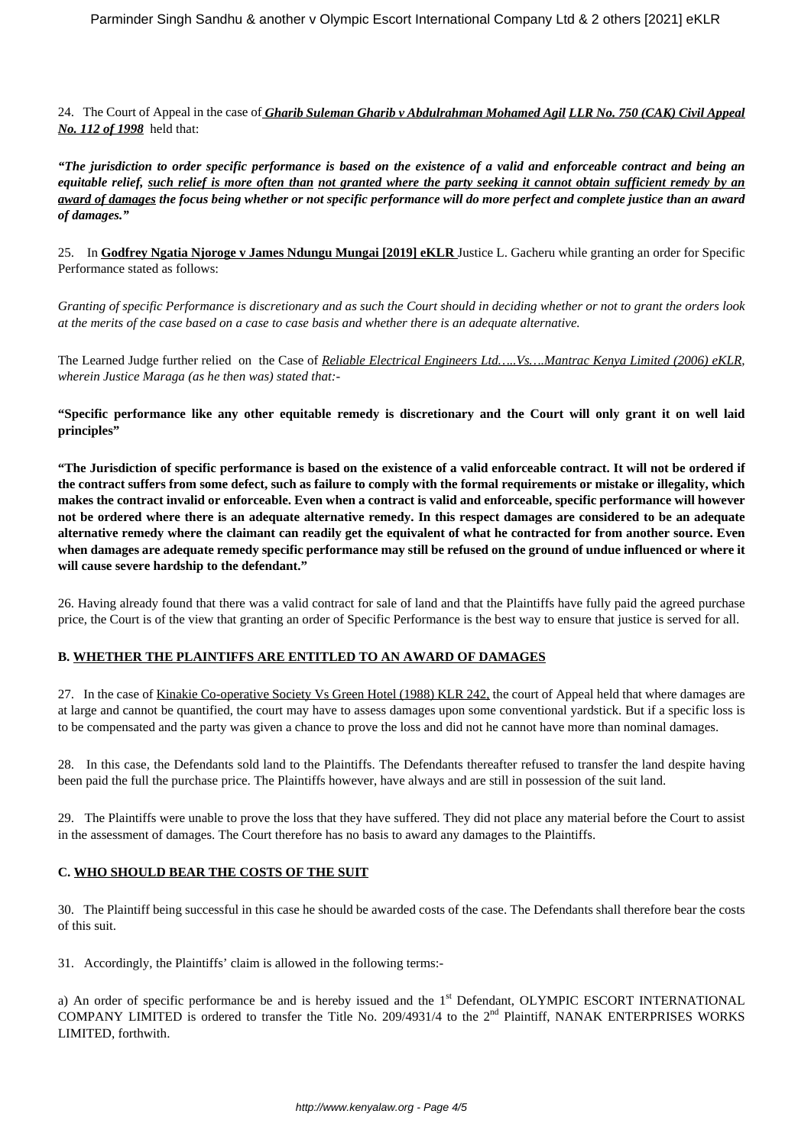24. The Court of Appeal in the case of *Gharib Suleman Gharib v Abdulrahman Mohamed Agil LLR No. 750 (CAK) Civil Appeal No. 112 of 1998* held that:

*"The jurisdiction to order specific performance is based on the existence of a valid and enforceable contract and being an equitable relief, such relief is more often than not granted where the party seeking it cannot obtain sufficient remedy by an award of damages the focus being whether or not specific performance will do more perfect and complete justice than an award of damages."*

25. In **Godfrey Ngatia Njoroge v James Ndungu Mungai [2019] eKLR** Justice L. Gacheru while granting an order for Specific Performance stated as follows:

*Granting of specific Performance is discretionary and as such the Court should in deciding whether or not to grant the orders look at the merits of the case based on a case to case basis and whether there is an adequate alternative.* 

The Learned Judge further relied on the Case of *Reliable Electrical Engineers Ltd…..Vs….Mantrac Kenya Limited (2006) eKLR, wherein Justice Maraga (as he then was) stated that:-*

**"Specific performance like any other equitable remedy is discretionary and the Court will only grant it on well laid principles"**

**"The Jurisdiction of specific performance is based on the existence of a valid enforceable contract. It will not be ordered if the contract suffers from some defect, such as failure to comply with the formal requirements or mistake or illegality, which makes the contract invalid or enforceable. Even when a contract is valid and enforceable, specific performance will however not be ordered where there is an adequate alternative remedy. In this respect damages are considered to be an adequate alternative remedy where the claimant can readily get the equivalent of what he contracted for from another source. Even when damages are adequate remedy specific performance may still be refused on the ground of undue influenced or where it will cause severe hardship to the defendant."**

26. Having already found that there was a valid contract for sale of land and that the Plaintiffs have fully paid the agreed purchase price, the Court is of the view that granting an order of Specific Performance is the best way to ensure that justice is served for all.

### **B. WHETHER THE PLAINTIFFS ARE ENTITLED TO AN AWARD OF DAMAGES**

27. In the case of Kinakie Co-operative Society Vs Green Hotel (1988) KLR 242, the court of Appeal held that where damages are at large and cannot be quantified, the court may have to assess damages upon some conventional yardstick. But if a specific loss is to be compensated and the party was given a chance to prove the loss and did not he cannot have more than nominal damages.

28. In this case, the Defendants sold land to the Plaintiffs. The Defendants thereafter refused to transfer the land despite having been paid the full the purchase price. The Plaintiffs however, have always and are still in possession of the suit land.

29. The Plaintiffs were unable to prove the loss that they have suffered. They did not place any material before the Court to assist in the assessment of damages. The Court therefore has no basis to award any damages to the Plaintiffs.

### **C. WHO SHOULD BEAR THE COSTS OF THE SUIT**

30. The Plaintiff being successful in this case he should be awarded costs of the case. The Defendants shall therefore bear the costs of this suit.

31. Accordingly, the Plaintiffs' claim is allowed in the following terms:-

a) An order of specific performance be and is hereby issued and the 1<sup>st</sup> Defendant, OLYMPIC ESCORT INTERNATIONAL COMPANY LIMITED is ordered to transfer the Title No. 209/4931/4 to the  $2<sup>nd</sup>$  Plaintiff, NANAK ENTERPRISES WORKS LIMITED, forthwith.